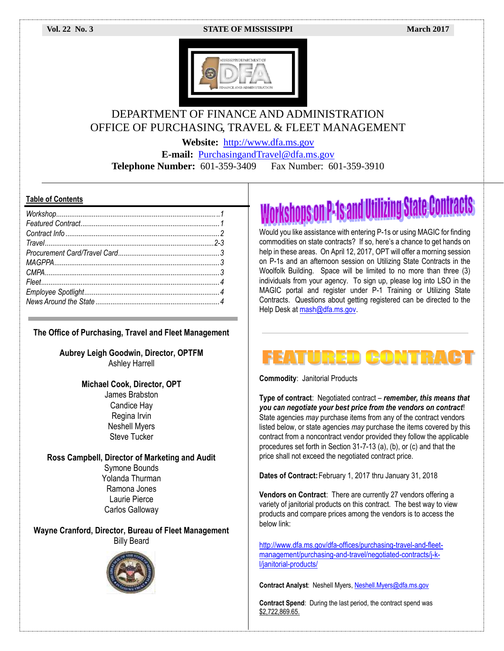#### **Vol. 22 No. 3 STATE OF MISSISSIPPI March 2017**



#### DEPARTMENT OF FINANCE AND ADMINISTRATION OFFICE OF PURCHASING, TRAVEL & FLEET MANAGEMENT

**Website:** [http://www.dfa.ms.gov](http://www.dfa.ms.gov/)

**E-mail:** [PurchasingandTravel@dfa.ms.gov](mailto:PurchasingandTravel@dfa.ms.gov)

**Telephone Number:** 601-359-3409 Fax Number: 601-359-3910

#### **Table of Contents**

**The Office of Purchasing, Travel and Fleet Management**

**Aubrey Leigh Goodwin, Director, OPTFM** Ashley Harrell

#### **Michael Cook, Director, OPT**

James Brabston Candice Hay Regina Irvin Neshell Myers Steve Tucker

#### **Ross Campbell, Director of Marketing and Audit**

Symone Bounds Yolanda Thurman Ramona Jones Laurie Pierce Carlos Galloway

**Wayne Cranford, Director, Bureau of Fleet Management** Billy Beard



## Workshops on P-1s and Utilizing State Contracts

Would you like assistance with entering P-1s or using MAGIC for finding commodities on state contracts? If so, here's a chance to get hands on help in these areas. On April 12, 2017, OPT will offer a morning session on P-1s and an afternoon session on Utilizing State Contracts in the Woolfolk Building. Space will be limited to no more than three (3) individuals from your agency. To sign up, please log into LSO in the MAGIC portal and register under P-1 Training or Utilizing State Contracts. Questions about getting registered can be directed to the Help Desk at [mash@dfa.ms.gov.](mailto:mash@dfa.ms.gov)

### EATURED CONTRAC

**Commodity**: Janitorial Products

**Type of contract**: Negotiated contract – *remember, this means that you can negotiate your best price from the vendors on contract*! State agencies *may* purchase items from any of the contract vendors listed below, or state agencies *may* purchase the items covered by this contract from a noncontract vendor provided they follow the applicable procedures set forth in Section 31-7-13 (a), (b), or (c) and that the price shall not exceed the negotiated contract price.

**Dates of Contract:**February 1, 2017 thru January 31, 2018

**Vendors on Contract**: There are currently 27 vendors offering a variety of janitorial products on this contract. The best way to view products and compare prices among the vendors is to access the below link:

[http://www.dfa.ms.gov/dfa-offices/purchasing-travel-and-fleet](http://www.dfa.ms.gov/dfa-offices/purchasing-travel-and-fleet-management/purchasing-and-travel/negotiated-contracts/j-k-l/janitorial-products/)[management/purchasing-and-travel/negotiated-contracts/j-k](http://www.dfa.ms.gov/dfa-offices/purchasing-travel-and-fleet-management/purchasing-and-travel/negotiated-contracts/j-k-l/janitorial-products/)[l/janitorial-products/](http://www.dfa.ms.gov/dfa-offices/purchasing-travel-and-fleet-management/purchasing-and-travel/negotiated-contracts/j-k-l/janitorial-products/)

**Contract Analyst**: Neshell Myers, [Neshell.Myers@dfa.ms.gov](mailto:Neshell.Myers@dfa.ms.gov)

**Contract Spend**: During the last period, the contract spend was \$2,722,869.65.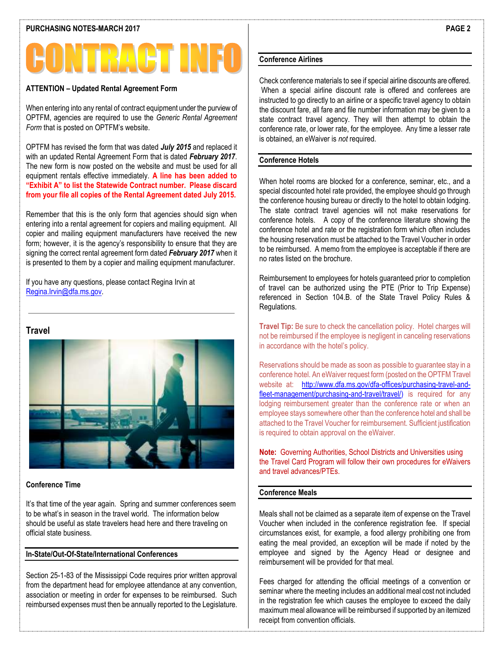# NT 34 ET

#### **ATTENTION – Updated Rental Agreement Form**

When entering into any rental of contract equipment under the purview of OPTFM, agencies are required to use the *Generic Rental Agreement Form* that is posted on OPTFM's website.

OPTFM has revised the form that was dated *July 2015* and replaced it with an updated Rental Agreement Form that is dated *February 2017*. The new form is now posted on the website and must be used for all equipment rentals effective immediately. **A line has been added to "Exhibit A" to list the Statewide Contract number. Please discard from your file all copies of the Rental Agreement dated July 2015.**

Remember that this is the only form that agencies should sign when entering into a rental agreement for copiers and mailing equipment. All copier and mailing equipment manufacturers have received the new form; however, it is the agency's responsibility to ensure that they are signing the correct rental agreement form dated *February 2017* when it is presented to them by a copier and mailing equipment manufacturer.

If you have any questions, please contact Regina Irvin at [Regina.Irvin@dfa.ms.gov.](mailto:Michael.Cook@dfa.ms.gov)

#### **Travel**



#### **Conference Time**

It's that time of the year again. Spring and summer conferences seem to be what's in season in the travel world. The information below should be useful as state travelers head here and there traveling on official state business.

#### **In-State/Out-Of-State/International Conferences**

Section 25-1-83 of the Mississippi Code requires prior written approval from the department head for employee attendance at any convention, association or meeting in order for expenses to be reimbursed. Such reimbursed expenses must then be annually reported to the Legislature.

#### **Conference Airlines**

Check conference materials to see if special airline discounts are offered. When a special airline discount rate is offered and conferees are instructed to go directly to an airline or a specific travel agency to obtain the discount fare, all fare and file number information may be given to a state contract travel agency. They will then attempt to obtain the conference rate, or lower rate, for the employee. Any time a lesser rate is obtained, an eWaiver is *not* required.

#### **Conference Hotels**

When hotel rooms are blocked for a conference, seminar, etc., and a special discounted hotel rate provided, the employee should go through the conference housing bureau or directly to the hotel to obtain lodging. The state contract travel agencies will not make reservations for conference hotels. A copy of the conference literature showing the conference hotel and rate or the registration form which often includes the housing reservation must be attached to the Travel Voucher in order to be reimbursed. A memo from the employee is acceptable if there are no rates listed on the brochure.

Reimbursement to employees for hotels guaranteed prior to completion of travel can be authorized using the PTE (Prior to Trip Expense) referenced in Section 104.B. of the State Travel Policy Rules & Regulations.

**Travel Tip:** Be sure to check the cancellation policy. Hotel charges will not be reimbursed if the employee is negligent in canceling reservations in accordance with the hotel's policy.

Reservations should be made as soon as possible to guarantee stay in a conference hotel. An eWaiver request form (posted on the OPTFM Travel website at: [http://www.dfa.ms.gov/dfa-offices/purchasing-travel-and](http://www.dfa.ms.gov/dfa-offices/purchasing-travel-and-fleet-management/purchasing-and-travel/travel/)[fleet-management/purchasing-and-travel/travel/\)](http://www.dfa.ms.gov/dfa-offices/purchasing-travel-and-fleet-management/purchasing-and-travel/travel/) is required for any lodging reimbursement greater than the conference rate or when an employee stays somewhere other than the conference hotel and shall be attached to the Travel Voucher for reimbursement. Sufficient justification is required to obtain approval on the eWaiver.

**Note:** Governing Authorities, School Districts and Universities using the Travel Card Program will follow their own procedures for eWaivers and travel advances/PTEs.

#### **Conference Meals**

Meals shall not be claimed as a separate item of expense on the Travel Voucher when included in the conference registration fee. If special circumstances exist, for example, a food allergy prohibiting one from eating the meal provided, an exception will be made if noted by the employee and signed by the Agency Head or designee and reimbursement will be provided for that meal.

Fees charged for attending the official meetings of a convention or seminar where the meeting includes an additional meal cost not included in the registration fee which causes the employee to exceed the daily maximum meal allowance will be reimbursed if supported by an itemized receipt from convention officials.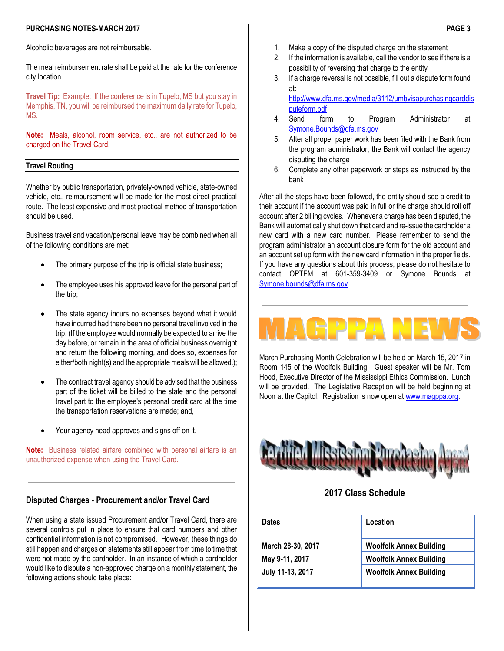#### **PURCHASING NOTES-MARCH 2017**

Alcoholic beverages are not reimbursable.

The meal reimbursement rate shall be paid at the rate for the conference city location.

**Travel Tip:** Example: If the conference is in Tupelo, MS but you stay in Memphis, TN, you will be reimbursed the maximum daily rate for Tupelo, MS.

**Note:** Meals, alcohol, room service, etc., are not authorized to be charged on the Travel Card.

#### **Travel Routing**

Whether by public transportation, privately-owned vehicle, state-owned vehicle, etc., reimbursement will be made for the most direct practical route. The least expensive and most practical method of transportation should be used.

Business travel and vacation/personal leave may be combined when all of the following conditions are met:

- The primary purpose of the trip is official state business;
- The employee uses his approved leave for the personal part of the trip;
- The state agency incurs no expenses beyond what it would have incurred had there been no personal travel involved in the trip. (If the employee would normally be expected to arrive the day before, or remain in the area of official business overnight and return the following morning, and does so, expenses for either/both night(s) and the appropriate meals will be allowed.);
- The contract travel agency should be advised that the business part of the ticket will be billed to the state and the personal travel part to the employee's personal credit card at the time the transportation reservations are made; and,
- Your agency head approves and signs off on it.

**Note:** Business related airfare combined with personal airfare is an unauthorized expense when using the Travel Card.

#### **Disputed Charges - Procurement and/or Travel Card**

When using a state issued Procurement and/or Travel Card, there are several controls put in place to ensure that card numbers and other confidential information is not compromised. However, these things do still happen and charges on statements still appear from time to time that were not made by the cardholder. In an instance of which a cardholder would like to dispute a non-approved charge on a monthly statement, the following actions should take place:

- 1. Make a copy of the disputed charge on the statement
- 2. If the information is available, call the vendor to see if there is a possibility of reversing that charge to the entity
- 3. If a charge reversal is not possible, fill out a dispute form found at:

[http://www.dfa.ms.gov/media/3112/umbvisapurchasingcarddis](http://www.dfa.ms.gov/media/3112/umbvisapurchasingcarddisputeform.pdf) [puteform.pdf](http://www.dfa.ms.gov/media/3112/umbvisapurchasingcarddisputeform.pdf)

- 4. Send form to Program Administrator at [Symone.Bounds@dfa.ms.gov](mailto:Symone.Bounds@dfa.ms.gov)
- 5. After all proper paper work has been filed with the Bank from the program administrator, the Bank will contact the agency disputing the charge
- 6. Complete any other paperwork or steps as instructed by the bank

After all the steps have been followed, the entity should see a credit to their account if the account was paid in full or the charge should roll off account after 2 billing cycles. Whenever a charge has been disputed, the Bank will automatically shut down that card and re-issue the cardholder a new card with a new card number. Please remember to send the program administrator an account closure form for the old account and an account set up form with the new card information in the proper fields. If you have any questions about this process, please do not hesitate to contact OPTFM at 601-359-3409 or Symone Bounds at [Symone.bounds@dfa.ms.gov.](mailto:Symone.bounds@dfa.ms.gov) 

### ed da Ne

March Purchasing Month Celebration will be held on March 15, 2017 in Room 145 of the Woolfolk Building. Guest speaker will be Mr. Tom Hood, Executive Director of the Mississippi Ethics Commission. Lunch will be provided. The Legislative Reception will be held beginning at Noon at the Capitol. Registration is now open at [www.magppa.org.](http://www.magppa.org/)



#### **2017 Class Schedule**

| <b>Dates</b>      | Location                       |
|-------------------|--------------------------------|
| March 28-30, 2017 | <b>Woolfolk Annex Building</b> |
| May 9-11, 2017    | <b>Woolfolk Annex Building</b> |
| July 11-13, 2017  | <b>Woolfolk Annex Building</b> |